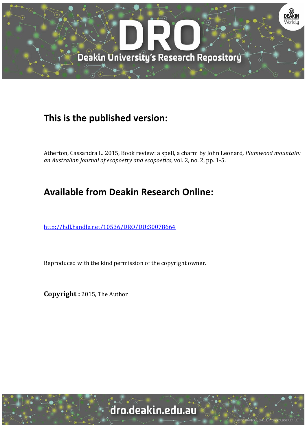

## **This is the published version:**

Atherton, Cassandra L. 2015, Book review: a spell, a charm by John Leonard, *Plumwood mountain: an Australian journal of ecopoetry and ecopoetics*, vol. 2, no. 2, pp. 1‐5. 

## **Available from Deakin Research Online:**

http://hdl.handle.net/10536/DRO/DU:30078664

Reproduced with the kind permission of the copyright owner.

**Copyright :** 2015, The Author

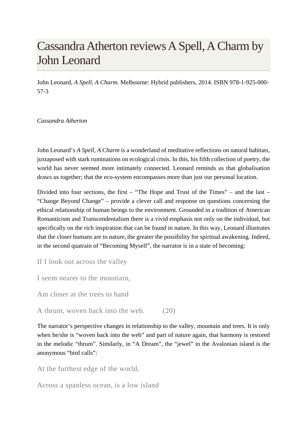## Cassandra Atherton reviews A Spell, A Charm by John Leonard

John Leonard, *A Spell, A Charm.* Melbourne: Hybrid publishers, 2014. ISBN 978-1-925-000- 57-3

*Cassandra Atherton*

John Leonard's *A Spell, A Charm* is a wonderland of meditative reflections on natural habitats, juxtaposed with stark ruminations on ecological crisis. In this, his fifth collection of poetry, the world has never seemed more intimately connected. Leonard reminds us that globalisation draws us together; that the eco-system encompasses more than just our personal location.

Divided into four sections, the first – "The Hope and Trust of the Times" – and the last – "Change Beyond Change" – provide a clever call and response on questions concerning the ethical relationship of human beings to the environment. Grounded in a tradition of American Romanticism and Transcendentalism there is a vivid emphasis not only on the individual, but specifically on the rich inspiration that can be found in nature. In this way, Leonard illustrates that the closer humans are to nature, the greater the possibility for spiritual awakening. Indeed, in the second quatrain of "Becoming Myself", the narrator is in a state of becoming:

If I look out across the valley

I seem nearer to the mountain,

Am closer at the trees to hand

A thrum, woven back into the web. (20)

The narrator's perspective changes in relationship to the valley, mountain and trees. It is only when he/she is "woven back into the web" and part of nature again, that harmony is restored in the melodic "thrum". Similarly, in "A Dream", the "jewel" in the Avalonian island is the anonymous "bird calls":

At the furthest edge of the world,

Across a spanless ocean, is a low island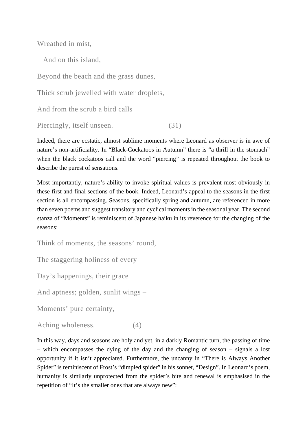Wreathed in mist,

And on this island,

Beyond the beach and the grass dunes,

Thick scrub jewelled with water droplets,

And from the scrub a bird calls

Piercingly, itself unseen. (31)

Indeed, there are ecstatic, almost sublime moments where Leonard as observer is in awe of nature's non-artificiality. In "Black-Cockatoos in Autumn" there is "a thrill in the stomach" when the black cockatoos call and the word "piercing" is repeated throughout the book to describe the purest of sensations.

Most importantly, nature's ability to invoke spiritual values is prevalent most obviously in these first and final sections of the book. Indeed, Leonard's appeal to the seasons in the first section is all encompassing. Seasons, specifically spring and autumn, are referenced in more than seven poems and suggest transitory and cyclical moments in the seasonal year. The second stanza of "Moments" is reminiscent of Japanese haiku in its reverence for the changing of the seasons:

Think of moments, the seasons' round,

The staggering holiness of every

Day's happenings, their grace

And aptness; golden, sunlit wings –

Moments' pure certainty,

Aching wholeness. (4)

In this way, days and seasons are holy and yet, in a darkly Romantic turn, the passing of time – which encompasses the dying of the day and the changing of season – signals a lost opportunity if it isn't appreciated. Furthermore, the uncanny in "There is Always Another Spider" is reminiscent of Frost's "dimpled spider" in his sonnet, "Design". In Leonard's poem, humanity is similarly unprotected from the spider's bite and renewal is emphasised in the repetition of "It's the smaller ones that are always new":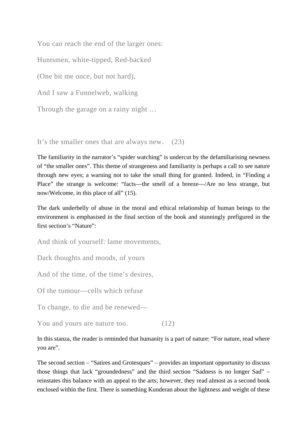You can reach the end of the larger ones: Huntsmen, white-tipped, Red-backed (One bit me once, but not hard), And I saw a Funnelweb, walking Through the garage on a rainy night ...

It's the smaller ones that are always new. (23)

The familiarity in the narrator's "spider watching" is undercut by the defamiliarising newness of "the smaller ones". This theme of strangeness and familiarity is perhaps a call to see nature through new eyes; a warning not to take the small thing for granted. Indeed, in "Finding a Place" the strange is welcome: "facts—the smell of a breeze—/Are no less strange, but now/Welcome, in this place of all" (15).

The dark underbelly of abuse in the moral and ethical relationship of human beings to the environment is emphasised in the final section of the book and stunningly prefigured in the first section's "Nature":

And think of yourself: lame movements,

Dark thoughts and moods, of yours

And of the time, of the time's desires,

Of the tumour—cells which refuse

To change, to die and be renewed—

You and yours are nature too. (12)

In this stanza, the reader is reminded that humanity is a part of nature: "For nature, read where you are".

The second section – "Satires and Grotesques" – provides an important opportunity to discuss those things that lack "groundedness" and the third section "Sadness is no longer Sad" – reinstates this balance with an appeal to the arts; however, they read almost as a second book enclosed within the first. There is something Kunderan about the lightness and weight of these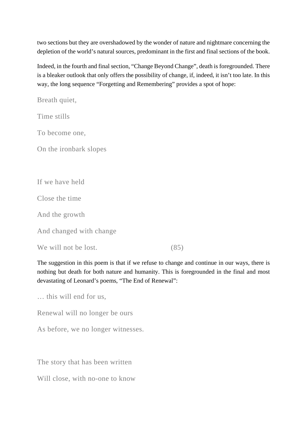two sections but they are overshadowed by the wonder of nature and nightmare concerning the depletion of the world's natural sources, predominant in the first and final sections of the book.

Indeed, in the fourth and final section, "Change Beyond Change", death is foregrounded. There is a bleaker outlook that only offers the possibility of change, if, indeed, it isn't too late. In this way, the long sequence "Forgetting and Remembering" provides a spot of hope:

Breath quiet,

Time stills

To become one,

On the ironbark slopes

If we have held

Close the time

And the growth

And changed with change

We will not be lost. (85)

The suggestion in this poem is that if we refuse to change and continue in our ways, there is nothing but death for both nature and humanity. This is foregrounded in the final and most devastating of Leonard's poems, "The End of Renewal":

… this will end for us,

Renewal will no longer be ours

As before, we no longer witnesses.

The story that has been written

Will close, with no-one to know